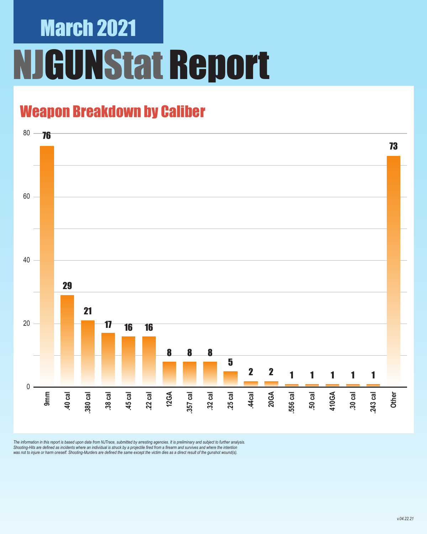### Weapon Breakdown by Caliber



The information in this report is based upon data from NJTrace, submitted by arresting agencies. It is preliminary and subject to further analysis.<br>Shooting-Hits are defined as incidents where an individual is struck by a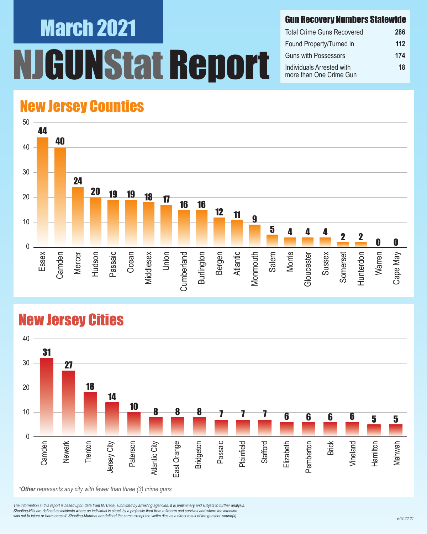#### Gun Recovery Numbers Statewide

| <b>Total Crime Guns Recovered</b>                    | 286 |
|------------------------------------------------------|-----|
| Found Property/Turned in                             | 112 |
| <b>Guns with Possessors</b>                          | 174 |
| Individuals Arrested with<br>more than One Crime Gun | 18  |

#### New Jersey Counties



#### New Jersey Cities

![](_page_1_Figure_6.jpeg)

*The information in this report is based upon data from NJTrace, submitted by arresting agencies. It is preliminary and subject to further analysis. Shooting-Hits are defined as incidents where an individual is struck by a projectile fired from a firearm and survives and where the intention*  was not to injure or harm oneself. Shooting-Murders are defined the same except the victim dies as a direct result of the gunshot wound(s).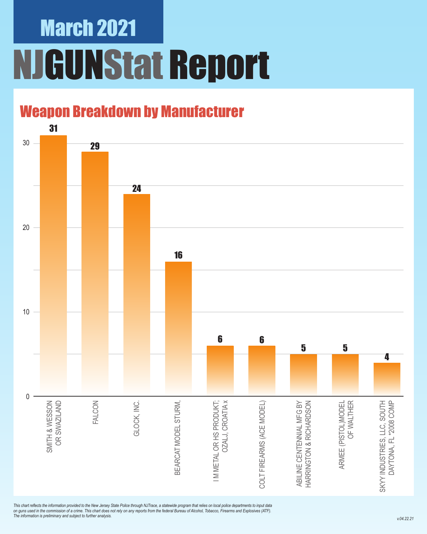### Weapon Breakdown by Manufacturer

![](_page_2_Figure_2.jpeg)

*This chart reflects the information provided to the New Jersey State Police through NJTrace, a statewide program that relies on local police departments to input data on guns used in the commission of a crime. This chart does not rely on any reports from the federal Bureau of Alcohol, Tobacco, Firearms and Explosives (ATF). The information is preliminary and subject to further analysis.*